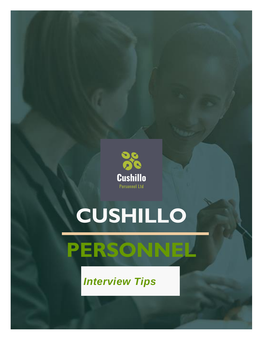

# **CUSHILLO**



## *Interview Tips*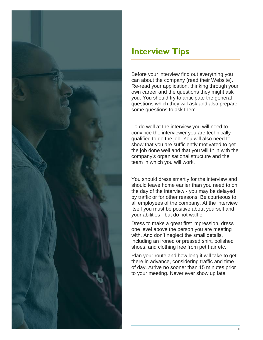

### **Interview Tips**

Before your interview find out everything you can about the company (read their Website). Re-read your application, thinking through your own career and the questions they might ask you. You should try to anticipate the general questions which they will ask and also prepare some questions to ask them.

To do well at the interview you will need to convince the interviewer you are technically qualified to do the job. You will also need to show that you are sufficiently motivated to get the job done well and that you will fit in with the company's organisational structure and the team in which you will work.

You should dress smartly for the interview and should leave home earlier than you need to on the day of the interview - you may be delayed by traffic or for other reasons. Be courteous to all employees of the company. At the interview itself you must be positive about yourself and your abilities - but do not waffle.

Dress to make a great first impression, dress one level above the person you are meeting with. And don't neglect the small details, including an ironed or pressed shirt, polished shoes, and clothing free from pet hair etc..

Plan your route and how long it will take to get there in advance, considering traffic and time of day. Arrive no sooner than 15 minutes prior to your meeting. Never ever show up late.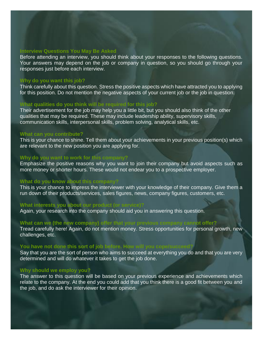#### **Interview Questions You May Be Asked**

Before attending an interview, you should think about your responses to the following questions. Your answers may depend on the job or company in question, so you should go through your responses just before each interview.

#### **Why do you want this job?**

Think carefully about this question. Stress the positive aspects which have attracted you to applying for this position. Do not mention the negative aspects of your current job or the job in question.

#### **What qualities do you think will be required for this job?**

Their advertisement for the job may help you a little bit, but you should also think of the other qualities that may be required. These may include leadership ability, supervisory skills, communication skills, interpersonal skills, problem solving, analytical skills, etc.

#### **What can you contribute?**

This is your chance to shine. Tell them about your achievements in your previous position(s) which are relevant to the new position you are applying for.

#### **Why do you want to work for this company?**

Emphasize the positive reasons why you want to join their company but avoid aspects such as more money or shorter hours. These would not endear you to a prospective employer.

#### **What do you know about this company?**

This is your chance to impress the interviewer with your knowledge of their company. Give them a run down of their products/services, sales figures, news, company figures, customers, etc.

#### **What interests you about our product (or service)?**

Again, your research into the company should aid you in answering this question.

#### **What can we (the new company) offer that your previous company cannot offer?**

Tread carefully here! Again, do not mention money. Stress opportunities for personal growth, new challenges, etc.

#### **You have not done this sort of job before. How will you cope/succeed?**

Say that you are the sort of person who aims to succeed at everything you do and that you are very determined and will do whatever it takes to get the job done.

#### **Why should we employ you?**

The answer to this question will be based on your previous experience and achievements which relate to the company. At the end you could add that you think there is a good fit between you and the job, and do ask the interviewer for their opinion.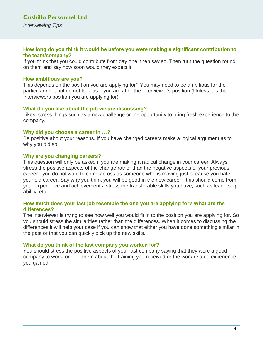#### **How long do you think it would be before you were making a significant contribution to the team/company?**

If you think that you could contribute from day one, then say so. Then turn the question round on them and say how soon would they expect it.

#### **How ambitious are you?**

This depends on the position you are applying for? You may need to be ambitious for the particular role, but do not look as if you are after the interviewer's position (Unless it is the Interviewers position you are applying for).

#### **What do you like about the job we are discussing?**

Likes: stress things such as a new challenge or the opportunity to bring fresh experience to the company.

#### **Why did you choose a career in …?**

Be positive about your reasons. If you have changed careers make a logical argument as to why you did so.

#### **Why are you changing careers?**

This question will only be asked if you are making a radical change in your career. Always stress the positive aspects of the change rather than the negative aspects of your previous career - you do not want to come across as someone who is moving just because you hate your old career. Say why you think you will be good in the new career - this should come from your experience and achievements, stress the transferable skills you have, such as leadership ability, etc.

#### **How much does your last job resemble the one you are applying for? What are the differences?**

The interviewer is trying to see how well you would fit in to the position you are applying for. So you should stress the similarities rather than the differences. When it comes to discussing the differences it will help your case if you can show that either you have done something similar in the past or that you can quickly pick up the new skills.

#### **What do you think of the last company you worked for?**

You should stress the positive aspects of your last company saying that they were a good company to work for. Tell them about the training you received or the work related experience you gained.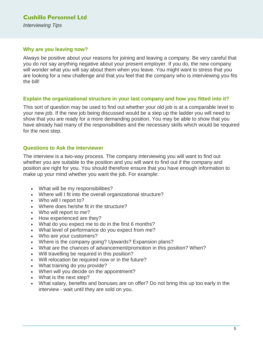#### **Cushillo Personnel Ltd** *Interviewing Tips*

#### **Why are you leaving now?**

Always be positive about your reasons for joining and leaving a company. Be very careful that you do not say anything negative about your present employer. If you do, the new company will wonder what you will say about them when you leave. You might want to stress that you are looking for a new challenge and that you feel that the company who is interviewing you fits the bill!

#### **Explain the organizational structure in your last company and how you fitted into it?**

This sort of question may be used to find out whether your old job is at a comparable level to your new job. If the new job being discussed would be a step up the ladder you will need to show that you are ready for a more demanding position. You may be able to show that you have already had many of the responsibilities and the necessary skills which would be required for the next step.

#### **Questions to Ask the Interviewer**

The interview is a two-way process. The company interviewing you will want to find out whether you are suitable to the position and you will want to find out if the company and position are right for you. You should therefore ensure that you have enough information to make up your mind whether you want the job. For example:

- What will be my responsibilities?
- Where will I fit into the overall organizational structure?
- Who will I report to?
- Where does he/she fit in the structure?
- Who will report to me?
- How experienced are they?
- What do you expect me to do in the first 6 months?
- What level of performance do you expect from me?
- Who are your customers?
- Where is the company going? Upwards? Expansion plans?
- What are the chances of advancement/promotion in this position? When?
- Will travelling be required in this position?
- Will relocation be required now or in the future?
- What training do you provide?
- When will you decide on the appointment?
- What is the next step?
- What salary, benefits and bonuses are on offer? Do not bring this up too early in the interview - wait until they are sold on you.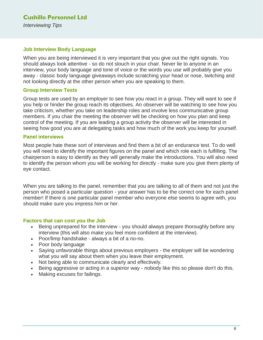#### **Job Interview Body Language**

When you are being interviewed it is very important that you give out the right signals. You should always look attentive - so do not slouch in your chair. Never lie to anyone in an interview, your body language and tone of voice or the words you use will probably give you away - classic body language giveaways include scratching your head or nose, twitching and not looking directly at the other person when you are speaking to them.

#### **Group Interview Tests**

Group tests are used by an employer to see how you react in a group. They will want to see if you help or hinder the group reach its objectives. An observer will be watching to see how you take criticism, whether you take on leadership roles and involve less communicative group members. If you chair the meeting the observer will be checking on how you plan and keep control of the meeting. If you are leading a group activity the observer will be interested in seeing how good you are at delegating tasks and how much of the work you keep for yourself.

#### **Panel interviews**

Most people hate these sort of interviews and find them a bit of an endurance test. To do well you will need to identify the important figures on the panel and which role each is fulfilling. The chairperson is easy to identify as they will generally make the introductions. You will also need to identify the person whom you will be working for directly - make sure you give them plenty of eye contact.

When you are talking to the panel, remember that you are talking to all of them and not just the person who posed a particular question - your answer has to be the correct one for each panel member! If there is one particular panel member who everyone else seems to agree with, you should make sure you impress him or her.

#### **Factors that can cost you the Job**

- Being unprepared for the interview you should always prepare thoroughly before any interview (this will also make you feel more confident at the interview).
- Poor/limp handshake always a bit of a no-no.
- Poor body language
- Saying unfavorable things about previous employers the employer will be wondering what you will say about them when you leave their employment.
- Not being able to communicate clearly and effectively.
- Being aggressive or acting in a superior way nobody like this so please don't do this.
- Making excuses for failings.